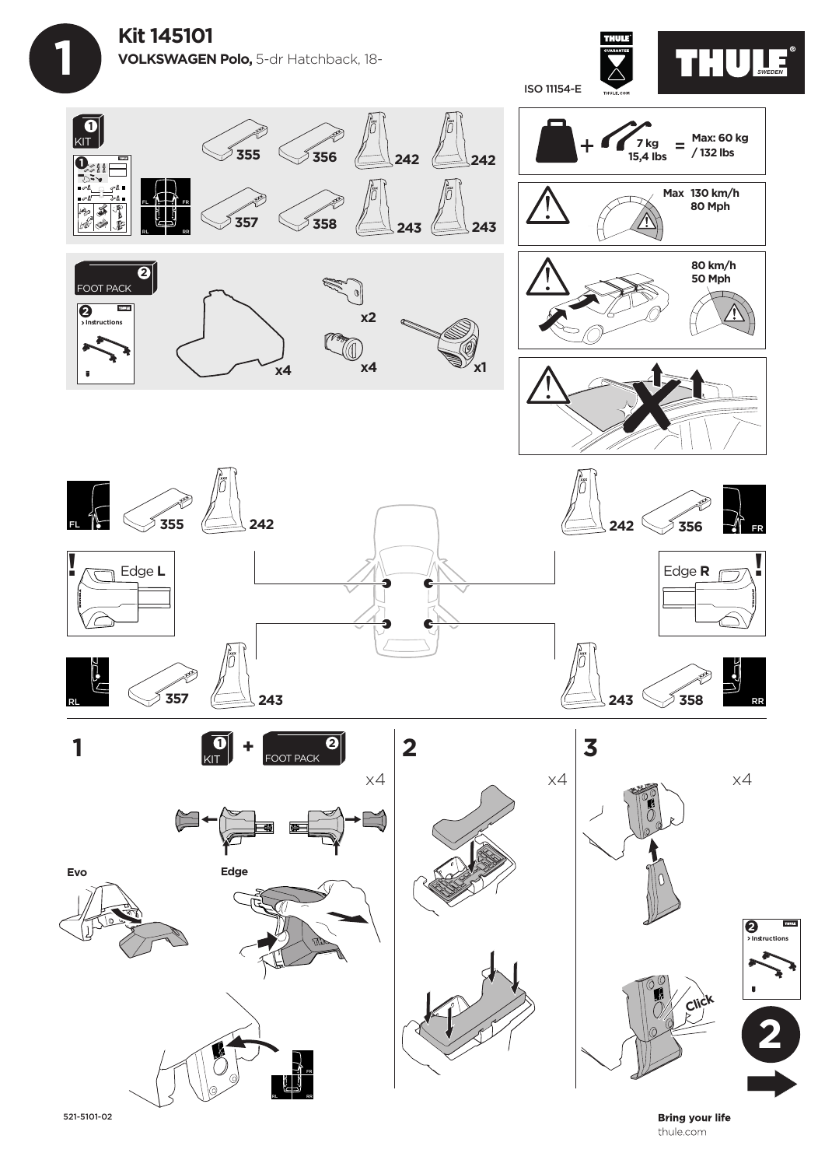



**THURS** 

**Bring your life** thule.com

**Click**

521-5101-02

FL FR

RL RR